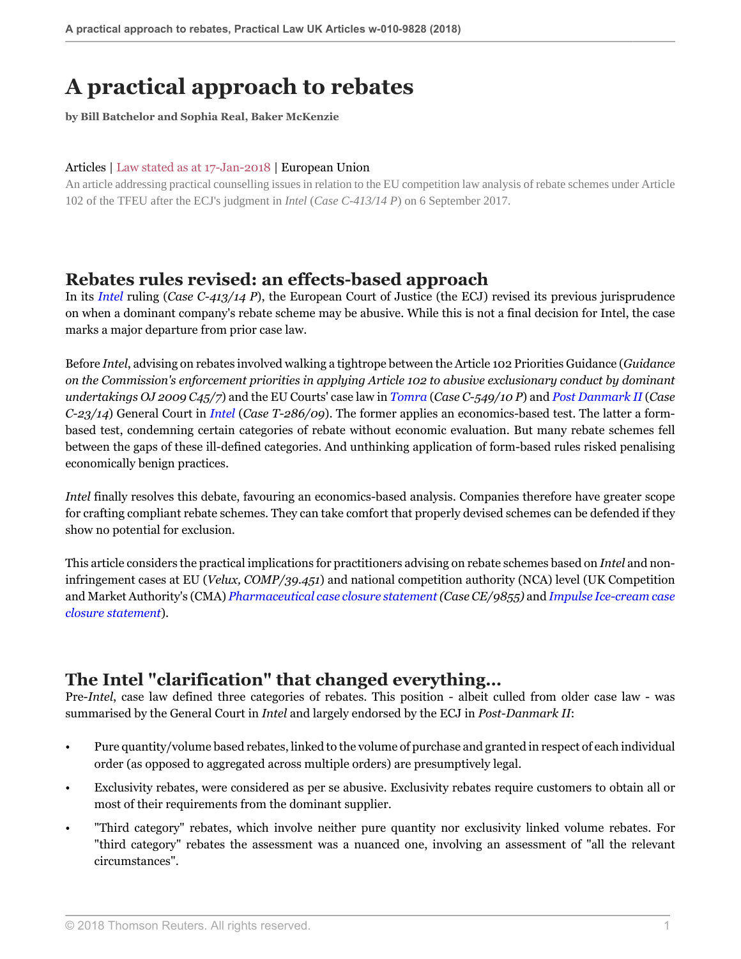# **A practical approach to rebates**

**by Bill Batchelor and Sophia Real, Baker McKenzie**

#### Articles | Law stated as at 17-Jan-2018 | European Union

An article addressing practical counselling issues in relation to the EU competition law analysis of rebate schemes under Article 102 of the TFEU after the ECJ's judgment in *Intel* (*Case C-413/14 P*) on 6 September 2017.

# **Rebates rules revised: an effects-based approach**

In its *[Intel](http://uk.practicallaw.thomsonreuters.com/w-010-1948?originationContext=document&vr=3.0&rs=PLUK1.0&transitionType=DocumentItem&contextData=(sc.Default))* ruling (*Case C-413/14 P*), the European Court of Justice (the ECJ) revised its previous jurisprudence on when a dominant company's rebate scheme may be abusive. While this is not a final decision for Intel, the case marks a major departure from prior case law.

Before *Intel*, advising on rebates involved walking a tightrope between the Article 102 Priorities Guidance (*Guidance on the Commission's enforcement priorities in applying Article 102 to abusive exclusionary conduct by dominant undertakings OJ 2009 C45/7*) and the EU Courts' case law in *[Tomra](http://uk.practicallaw.thomsonreuters.com/2-519-0254?originationContext=document&vr=3.0&rs=PLUK1.0&transitionType=DocumentItem&contextData=(sc.Default))* (*Case C-549/10 P*) and *[Post Danmark II](http://uk.practicallaw.thomsonreuters.com/6-619-2684?originationContext=document&vr=3.0&rs=PLUK1.0&transitionType=DocumentItem&contextData=(sc.Default))* (*Case C-23/14*) General Court in *[Intel](http://uk.practicallaw.thomsonreuters.com/1-571-0085?originationContext=document&vr=3.0&rs=PLUK1.0&transitionType=DocumentItem&contextData=(sc.Default))* (*Case T-286/09*). The former applies an economics-based test. The latter a formbased test, condemning certain categories of rebate without economic evaluation. But many rebate schemes fell between the gaps of these ill-defined categories. And unthinking application of form-based rules risked penalising economically benign practices.

*Intel* finally resolves this debate, favouring an economics-based analysis. Companies therefore have greater scope for crafting compliant rebate schemes. They can take comfort that properly devised schemes can be defended if they show no potential for exclusion.

This article considers the practical implications for practitioners advising on rebate schemes based on *Intel* and noninfringement cases at EU (*Velux, COMP/39.451*) and national competition authority (NCA) level (UK Competition and Market Authority's (CMA) *[Pharmaceutical case closure statement](http://uk.practicallaw.thomsonreuters.com/4-616-7794?originationContext=document&vr=3.0&rs=PLUK1.0&transitionType=DocumentItem&contextData=(sc.Default)) (Case CE/9855)* and *[Impulse Ice-cream case](http://uk.practicallaw.thomsonreuters.com/w-009-7845?originationContext=document&vr=3.0&rs=PLUK1.0&transitionType=DocumentItem&contextData=(sc.Default)) [closure statement](http://uk.practicallaw.thomsonreuters.com/w-009-7845?originationContext=document&vr=3.0&rs=PLUK1.0&transitionType=DocumentItem&contextData=(sc.Default))*).

# **The Intel "clarification" that changed everything…**

Pre-*Intel*, case law defined three categories of rebates. This position - albeit culled from older case law - was summarised by the General Court in *Intel* and largely endorsed by the ECJ in *Post-Danmark II*:

- Pure quantity/volume based rebates, linked to the volume of purchase and granted in respect of each individual order (as opposed to aggregated across multiple orders) are presumptively legal.
- Exclusivity rebates, were considered as per se abusive. Exclusivity rebates require customers to obtain all or most of their requirements from the dominant supplier.
- "Third category" rebates, which involve neither pure quantity nor exclusivity linked volume rebates. For "third category" rebates the assessment was a nuanced one, involving an assessment of "all the relevant circumstances".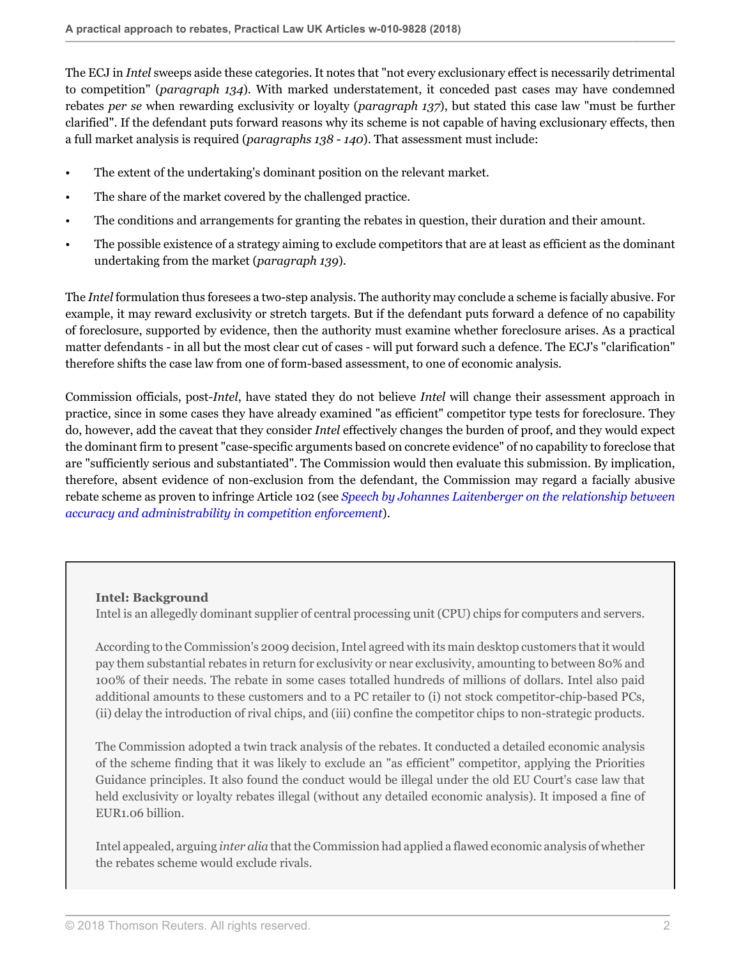The ECJ in *Intel* sweeps aside these categories. It notes that "not every exclusionary effect is necessarily detrimental to competition" (*paragraph 134*). With marked understatement, it conceded past cases may have condemned rebates *per se* when rewarding exclusivity or loyalty (*paragraph 137*), but stated this case law "must be further clarified". If the defendant puts forward reasons why its scheme is not capable of having exclusionary effects, then a full market analysis is required (*paragraphs 138 - 140*). That assessment must include:

- The extent of the undertaking's dominant position on the relevant market.
- The share of the market covered by the challenged practice.
- The conditions and arrangements for granting the rebates in question, their duration and their amount.
- The possible existence of a strategy aiming to exclude competitors that are at least as efficient as the dominant undertaking from the market (*paragraph 139*).

The *Intel* formulation thus foresees a two-step analysis. The authority may conclude a scheme is facially abusive. For example, it may reward exclusivity or stretch targets. But if the defendant puts forward a defence of no capability of foreclosure, supported by evidence, then the authority must examine whether foreclosure arises. As a practical matter defendants - in all but the most clear cut of cases - will put forward such a defence. The ECJ's "clarification" therefore shifts the case law from one of form-based assessment, to one of economic analysis.

Commission officials, post-*Intel*, have stated they do not believe *Intel* will change their assessment approach in practice, since in some cases they have already examined "as efficient" competitor type tests for foreclosure. They do, however, add the caveat that they consider *Intel* effectively changes the burden of proof, and they would expect the dominant firm to present "case-specific arguments based on concrete evidence" of no capability to foreclose that are "sufficiently serious and substantiated". The Commission would then evaluate this submission. By implication, therefore, absent evidence of non-exclusion from the defendant, the Commission may regard a facially abusive rebate scheme as proven to infringe Article 102 (see *[Speech by Johannes Laitenberger on the relationship between](http://uk.practicallaw.thomsonreuters.com/w-012-2325?originationContext=document&vr=3.0&rs=PLUK1.0&transitionType=DocumentItem&contextData=(sc.Default)) [accuracy and administrability in competition enforcement](http://uk.practicallaw.thomsonreuters.com/w-012-2325?originationContext=document&vr=3.0&rs=PLUK1.0&transitionType=DocumentItem&contextData=(sc.Default))*).

#### **Intel: Background**

Intel is an allegedly dominant supplier of central processing unit (CPU) chips for computers and servers.

According to the Commission's 2009 decision, Intel agreed with its main desktop customers that it would pay them substantial rebates in return for exclusivity or near exclusivity, amounting to between 80% and 100% of their needs. The rebate in some cases totalled hundreds of millions of dollars. Intel also paid additional amounts to these customers and to a PC retailer to (i) not stock competitor-chip-based PCs, (ii) delay the introduction of rival chips, and (iii) confine the competitor chips to non-strategic products.

The Commission adopted a twin track analysis of the rebates. It conducted a detailed economic analysis of the scheme finding that it was likely to exclude an "as efficient" competitor, applying the Priorities Guidance principles. It also found the conduct would be illegal under the old EU Court's case law that held exclusivity or loyalty rebates illegal (without any detailed economic analysis). It imposed a fine of EUR1.06 billion.

Intel appealed, arguing *inter alia* that the Commission had applied a flawed economic analysis of whether the rebates scheme would exclude rivals.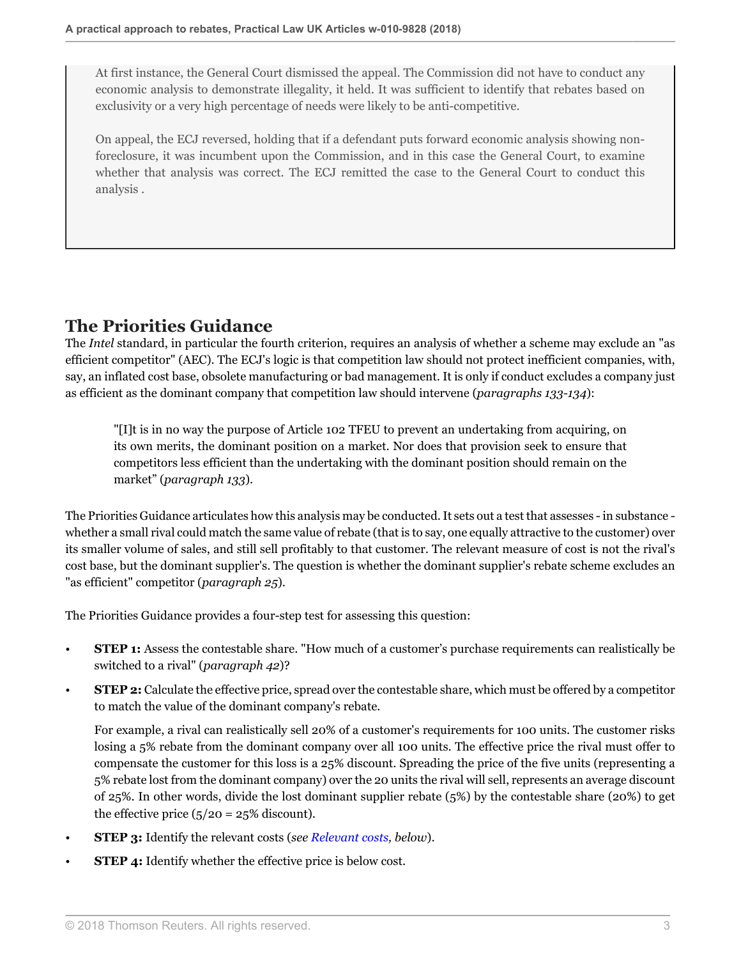At first instance, the General Court dismissed the appeal. The Commission did not have to conduct any economic analysis to demonstrate illegality, it held. It was sufficient to identify that rebates based on exclusivity or a very high percentage of needs were likely to be anti-competitive.

On appeal, the ECJ reversed, holding that if a defendant puts forward economic analysis showing nonforeclosure, it was incumbent upon the Commission, and in this case the General Court, to examine whether that analysis was correct. The ECJ remitted the case to the General Court to conduct this analysis .

# **The Priorities Guidance**

The *Intel* standard, in particular the fourth criterion, requires an analysis of whether a scheme may exclude an "as efficient competitor" (AEC). The ECJ's logic is that competition law should not protect inefficient companies, with, say, an inflated cost base, obsolete manufacturing or bad management. It is only if conduct excludes a company just as efficient as the dominant company that competition law should intervene (*paragraphs 133-134*):

"[I]t is in no way the purpose of Article 102 TFEU to prevent an undertaking from acquiring, on its own merits, the dominant position on a market. Nor does that provision seek to ensure that competitors less efficient than the undertaking with the dominant position should remain on the market" (*paragraph 133*).

The Priorities Guidance articulates how this analysis may be conducted. It sets out a test that assesses - in substance whether a small rival could match the same value of rebate (that is to say, one equally attractive to the customer) over its smaller volume of sales, and still sell profitably to that customer. The relevant measure of cost is not the rival's cost base, but the dominant supplier's. The question is whether the dominant supplier's rebate scheme excludes an "as efficient" competitor (*paragraph 25*).

The Priorities Guidance provides a four-step test for assessing this question:

- **STEP 1:** Assess the contestable share. "How much of a customer's purchase requirements can realistically be switched to a rival" (*paragraph 42*)?
- **STEP 2:** Calculate the effective price, spread over the contestable share, which must be offered by a competitor to match the value of the dominant company's rebate.

For example, a rival can realistically sell 20% of a customer's requirements for 100 units. The customer risks losing a 5% rebate from the dominant company over all 100 units. The effective price the rival must offer to compensate the customer for this loss is a 25% discount. Spreading the price of the five units (representing a 5% rebate lost from the dominant company) over the 20 units the rival will sell, represents an average discount of 25%. In other words, divide the lost dominant supplier rebate (5%) by the contestable share (20%) to get the effective price  $(5/20 = 25\%$  discount).

- **STEP 3:** Identify the relevant costs (*see [Relevant costs](#page-3-0), below*).
- **STEP 4:** Identify whether the effective price is below cost.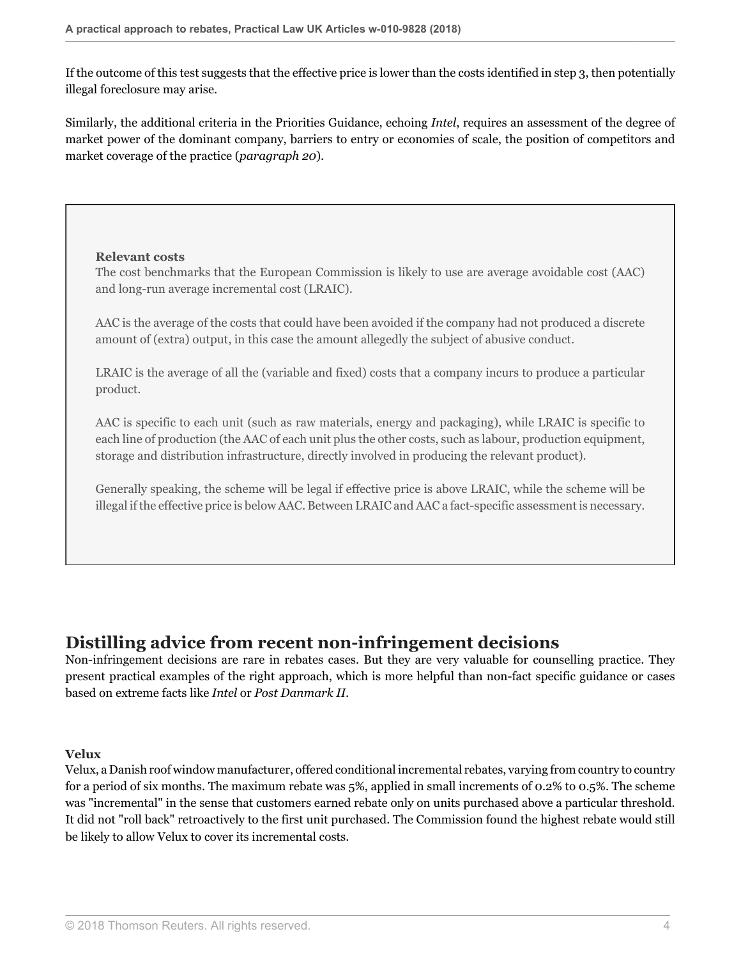If the outcome of this test suggests that the effective price is lower than the costs identified in step 3, then potentially illegal foreclosure may arise.

Similarly, the additional criteria in the Priorities Guidance, echoing *Intel*, requires an assessment of the degree of market power of the dominant company, barriers to entry or economies of scale, the position of competitors and market coverage of the practice (*paragraph 20*).

#### <span id="page-3-0"></span>**Relevant costs**

The cost benchmarks that the European Commission is likely to use are average avoidable cost (AAC) and long-run average incremental cost (LRAIC).

AAC is the average of the costs that could have been avoided if the company had not produced a discrete amount of (extra) output, in this case the amount allegedly the subject of abusive conduct.

LRAIC is the average of all the (variable and fixed) costs that a company incurs to produce a particular product.

AAC is specific to each unit (such as raw materials, energy and packaging), while LRAIC is specific to each line of production (the AAC of each unit plus the other costs, such as labour, production equipment, storage and distribution infrastructure, directly involved in producing the relevant product).

Generally speaking, the scheme will be legal if effective price is above LRAIC, while the scheme will be illegal if the effective price is below AAC. Between LRAIC and AAC a fact-specific assessment is necessary.

# **Distilling advice from recent non-infringement decisions**

Non-infringement decisions are rare in rebates cases. But they are very valuable for counselling practice. They present practical examples of the right approach, which is more helpful than non-fact specific guidance or cases based on extreme facts like *Intel* or *Post Danmark II*.

#### **Velux**

Velux, a Danish roof window manufacturer, offered conditional incremental rebates, varying from country to country for a period of six months. The maximum rebate was 5%, applied in small increments of 0.2% to 0.5%. The scheme was "incremental" in the sense that customers earned rebate only on units purchased above a particular threshold. It did not "roll back" retroactively to the first unit purchased. The Commission found the highest rebate would still be likely to allow Velux to cover its incremental costs.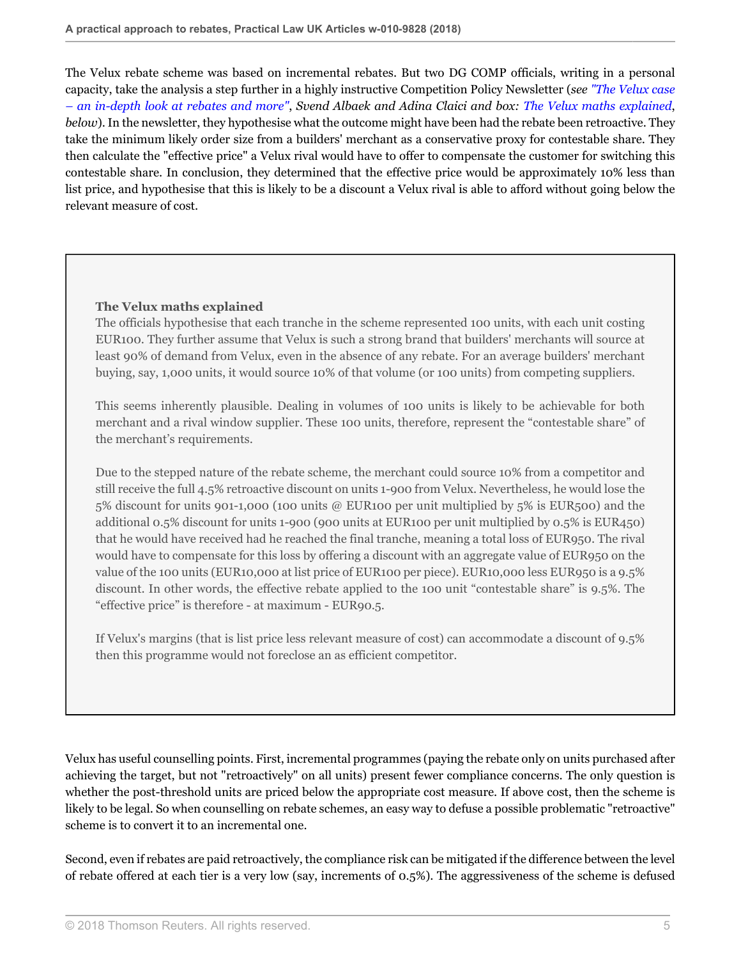The Velux rebate scheme was based on incremental rebates. But two DG COMP officials, writing in a personal capacity, take the analysis a step further in a highly instructive Competition Policy Newsletter (*see ["The Velux case](http://ec.europa.eu/competition/publications/cpn/2009_2_10.pdf) [– an in-depth look at rebates and more"](http://ec.europa.eu/competition/publications/cpn/2009_2_10.pdf)*, *Svend Albaek and Adina Claici and box: [The Velux maths explained](#page-4-0)*, *below*). In the newsletter, they hypothesise what the outcome might have been had the rebate been retroactive. They take the minimum likely order size from a builders' merchant as a conservative proxy for contestable share. They then calculate the "effective price" a Velux rival would have to offer to compensate the customer for switching this contestable share. In conclusion, they determined that the effective price would be approximately 10% less than list price, and hypothesise that this is likely to be a discount a Velux rival is able to afford without going below the relevant measure of cost.

#### <span id="page-4-0"></span>**The Velux maths explained**

The officials hypothesise that each tranche in the scheme represented 100 units, with each unit costing EUR100. They further assume that Velux is such a strong brand that builders' merchants will source at least 90% of demand from Velux, even in the absence of any rebate. For an average builders' merchant buying, say, 1,000 units, it would source 10% of that volume (or 100 units) from competing suppliers.

This seems inherently plausible. Dealing in volumes of 100 units is likely to be achievable for both merchant and a rival window supplier. These 100 units, therefore, represent the "contestable share" of the merchant's requirements.

Due to the stepped nature of the rebate scheme, the merchant could source 10% from a competitor and still receive the full 4.5% retroactive discount on units 1-900 from Velux. Nevertheless, he would lose the 5% discount for units 901-1,000 (100 units @ EUR100 per unit multiplied by 5% is EUR500) and the additional 0.5% discount for units 1-900 (900 units at EUR100 per unit multiplied by 0.5% is EUR450) that he would have received had he reached the final tranche, meaning a total loss of EUR950. The rival would have to compensate for this loss by offering a discount with an aggregate value of EUR950 on the value of the 100 units (EUR10,000 at list price of EUR100 per piece). EUR10,000 less EUR950 is a 9.5% discount. In other words, the effective rebate applied to the 100 unit "contestable share" is 9.5%. The "effective price" is therefore - at maximum - EUR90.5.

If Velux's margins (that is list price less relevant measure of cost) can accommodate a discount of 9.5% then this programme would not foreclose an as efficient competitor.

Velux has useful counselling points. First, incremental programmes (paying the rebate only on units purchased after achieving the target, but not "retroactively" on all units) present fewer compliance concerns. The only question is whether the post-threshold units are priced below the appropriate cost measure. If above cost, then the scheme is likely to be legal. So when counselling on rebate schemes, an easy way to defuse a possible problematic "retroactive" scheme is to convert it to an incremental one.

Second, even if rebates are paid retroactively, the compliance risk can be mitigated if the difference between the level of rebate offered at each tier is a very low (say, increments of 0.5%). The aggressiveness of the scheme is defused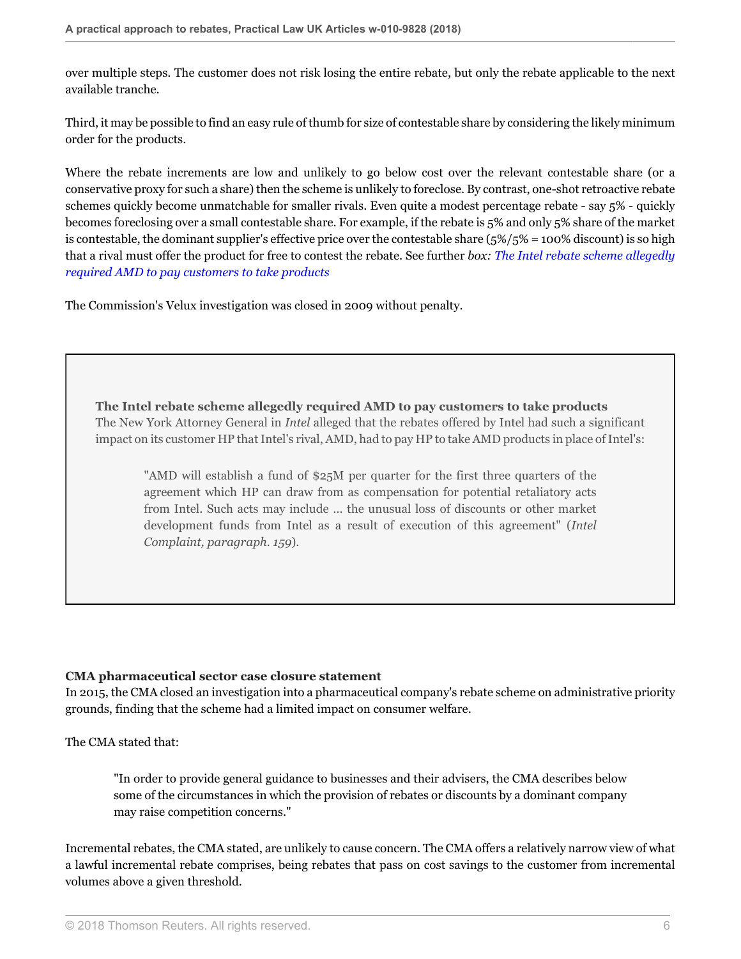over multiple steps. The customer does not risk losing the entire rebate, but only the rebate applicable to the next available tranche.

Third, it may be possible to find an easy rule of thumb for size of contestable share by considering the likely minimum order for the products.

Where the rebate increments are low and unlikely to go below cost over the relevant contestable share (or a conservative proxy for such a share) then the scheme is unlikely to foreclose. By contrast, one-shot retroactive rebate schemes quickly become unmatchable for smaller rivals. Even quite a modest percentage rebate - say 5% - quickly becomes foreclosing over a small contestable share. For example, if the rebate is 5% and only 5% share of the market is contestable, the dominant supplier's effective price over the contestable share  $(5\%/5\% = 100\%$  discount) is so high that a rival must offer the product for free to contest the rebate. See further *box: [The Intel rebate scheme allegedly](#page-5-0) [required AMD to pay customers to take products](#page-5-0)*

The Commission's Velux investigation was closed in 2009 without penalty.

<span id="page-5-0"></span>**The Intel rebate scheme allegedly required AMD to pay customers to take products** The New York Attorney General in *Intel* alleged that the rebates offered by Intel had such a significant impact on its customer HP that Intel's rival, AMD, had to pay HP to take AMD products in place of Intel's:

"AMD will establish a fund of \$25M per quarter for the first three quarters of the agreement which HP can draw from as compensation for potential retaliatory acts from Intel. Such acts may include … the unusual loss of discounts or other market development funds from Intel as a result of execution of this agreement" (*Intel Complaint, paragraph. 159*).

#### **CMA pharmaceutical sector case closure statement**

In 2015, the CMA closed an investigation into a pharmaceutical company's rebate scheme on administrative priority grounds, finding that the scheme had a limited impact on consumer welfare.

The CMA stated that:

"In order to provide general guidance to businesses and their advisers, the CMA describes below some of the circumstances in which the provision of rebates or discounts by a dominant company may raise competition concerns."

Incremental rebates, the CMA stated, are unlikely to cause concern. The CMA offers a relatively narrow view of what a lawful incremental rebate comprises, being rebates that pass on cost savings to the customer from incremental volumes above a given threshold.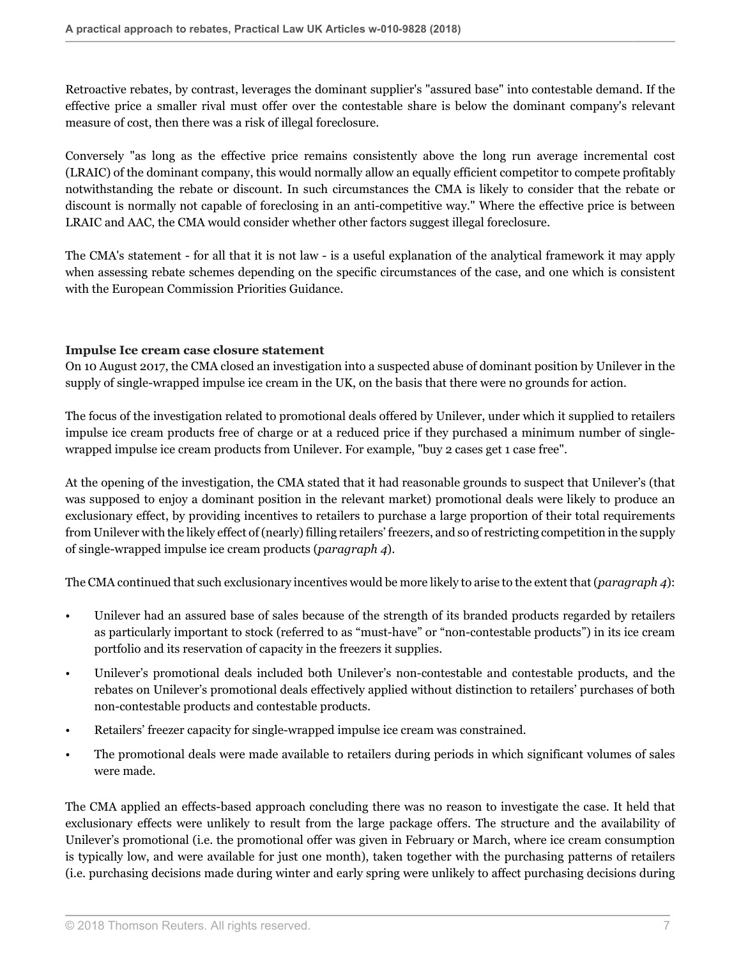Retroactive rebates, by contrast, leverages the dominant supplier's "assured base" into contestable demand. If the effective price a smaller rival must offer over the contestable share is below the dominant company's relevant measure of cost, then there was a risk of illegal foreclosure.

Conversely "as long as the effective price remains consistently above the long run average incremental cost (LRAIC) of the dominant company, this would normally allow an equally efficient competitor to compete profitably notwithstanding the rebate or discount. In such circumstances the CMA is likely to consider that the rebate or discount is normally not capable of foreclosing in an anti-competitive way." Where the effective price is between LRAIC and AAC, the CMA would consider whether other factors suggest illegal foreclosure.

The CMA's statement - for all that it is not law - is a useful explanation of the analytical framework it may apply when assessing rebate schemes depending on the specific circumstances of the case, and one which is consistent with the European Commission Priorities Guidance.

#### **Impulse Ice cream case closure statement**

On 10 August 2017, the CMA closed an investigation into a suspected abuse of dominant position by Unilever in the supply of single-wrapped impulse ice cream in the UK, on the basis that there were no grounds for action.

The focus of the investigation related to promotional deals offered by Unilever, under which it supplied to retailers impulse ice cream products free of charge or at a reduced price if they purchased a minimum number of singlewrapped impulse ice cream products from Unilever. For example, "buy 2 cases get 1 case free".

At the opening of the investigation, the CMA stated that it had reasonable grounds to suspect that Unilever's (that was supposed to enjoy a dominant position in the relevant market) promotional deals were likely to produce an exclusionary effect, by providing incentives to retailers to purchase a large proportion of their total requirements from Unilever with the likely effect of (nearly) filling retailers' freezers, and so of restricting competition in the supply of single-wrapped impulse ice cream products (*paragraph 4*).

The CMA continued that such exclusionary incentives would be more likely to arise to the extent that (*paragraph 4*):

- Unilever had an assured base of sales because of the strength of its branded products regarded by retailers as particularly important to stock (referred to as "must-have" or "non-contestable products") in its ice cream portfolio and its reservation of capacity in the freezers it supplies.
- Unilever's promotional deals included both Unilever's non-contestable and contestable products, and the rebates on Unilever's promotional deals effectively applied without distinction to retailers' purchases of both non-contestable products and contestable products.
- Retailers' freezer capacity for single-wrapped impulse ice cream was constrained.
- The promotional deals were made available to retailers during periods in which significant volumes of sales were made.

The CMA applied an effects-based approach concluding there was no reason to investigate the case. It held that exclusionary effects were unlikely to result from the large package offers. The structure and the availability of Unilever's promotional (i.e. the promotional offer was given in February or March, where ice cream consumption is typically low, and were available for just one month), taken together with the purchasing patterns of retailers (i.e. purchasing decisions made during winter and early spring were unlikely to affect purchasing decisions during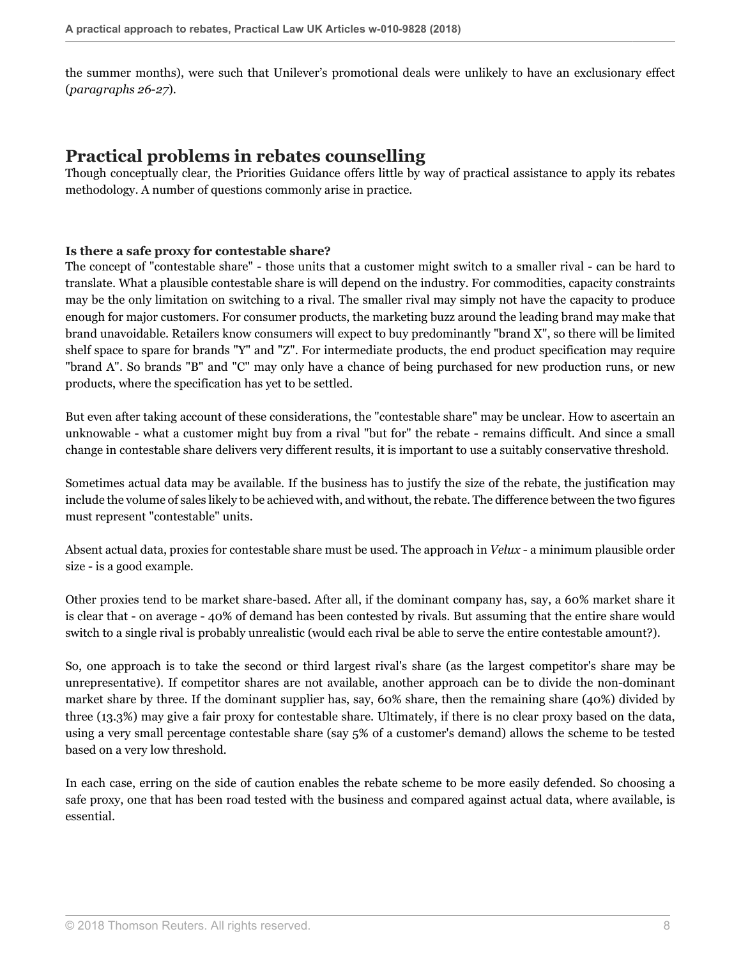the summer months), were such that Unilever's promotional deals were unlikely to have an exclusionary effect (*paragraphs 26-27*).

# **Practical problems in rebates counselling**

Though conceptually clear, the Priorities Guidance offers little by way of practical assistance to apply its rebates methodology. A number of questions commonly arise in practice.

#### **Is there a safe proxy for contestable share?**

The concept of "contestable share" - those units that a customer might switch to a smaller rival - can be hard to translate. What a plausible contestable share is will depend on the industry. For commodities, capacity constraints may be the only limitation on switching to a rival. The smaller rival may simply not have the capacity to produce enough for major customers. For consumer products, the marketing buzz around the leading brand may make that brand unavoidable. Retailers know consumers will expect to buy predominantly "brand X", so there will be limited shelf space to spare for brands "Y" and "Z". For intermediate products, the end product specification may require "brand A". So brands "B" and "C" may only have a chance of being purchased for new production runs, or new products, where the specification has yet to be settled.

But even after taking account of these considerations, the "contestable share" may be unclear. How to ascertain an unknowable - what a customer might buy from a rival "but for" the rebate - remains difficult. And since a small change in contestable share delivers very different results, it is important to use a suitably conservative threshold.

Sometimes actual data may be available. If the business has to justify the size of the rebate, the justification may include the volume of sales likely to be achieved with, and without, the rebate. The difference between the two figures must represent "contestable" units.

Absent actual data, proxies for contestable share must be used. The approach in *Velux* - a minimum plausible order size - is a good example.

Other proxies tend to be market share-based. After all, if the dominant company has, say, a 60% market share it is clear that - on average - 40% of demand has been contested by rivals. But assuming that the entire share would switch to a single rival is probably unrealistic (would each rival be able to serve the entire contestable amount?).

So, one approach is to take the second or third largest rival's share (as the largest competitor's share may be unrepresentative). If competitor shares are not available, another approach can be to divide the non-dominant market share by three. If the dominant supplier has, say, 60% share, then the remaining share (40%) divided by three (13.3%) may give a fair proxy for contestable share. Ultimately, if there is no clear proxy based on the data, using a very small percentage contestable share (say 5% of a customer's demand) allows the scheme to be tested based on a very low threshold.

In each case, erring on the side of caution enables the rebate scheme to be more easily defended. So choosing a safe proxy, one that has been road tested with the business and compared against actual data, where available, is essential.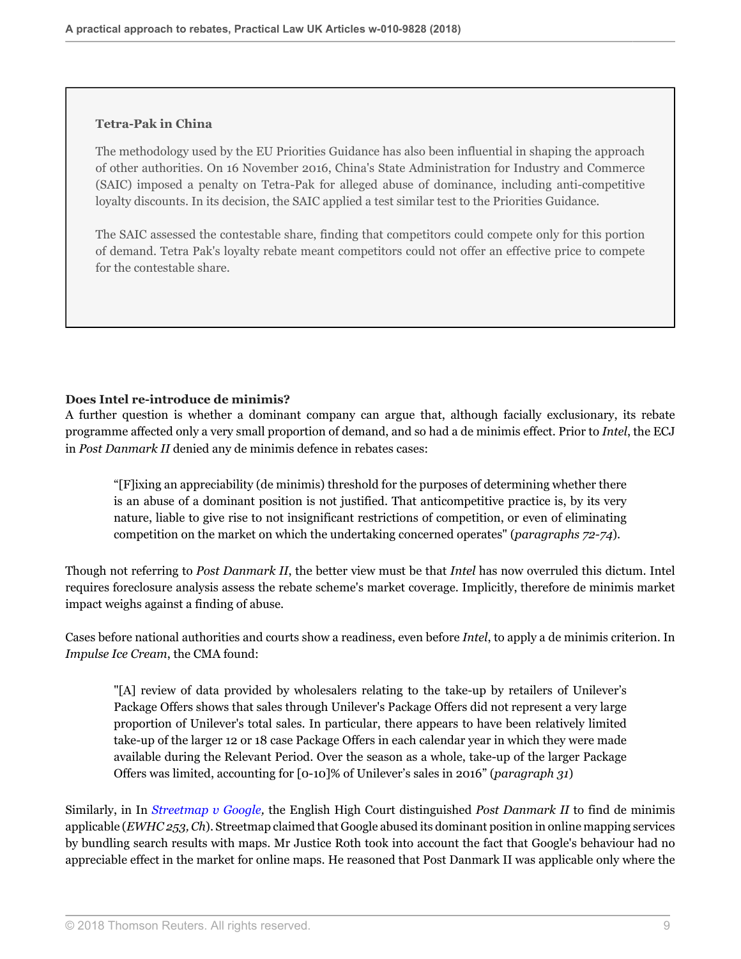#### **Tetra-Pak in China**

The methodology used by the EU Priorities Guidance has also been influential in shaping the approach of other authorities. On 16 November 2016, China's State Administration for Industry and Commerce (SAIC) imposed a penalty on Tetra-Pak for alleged abuse of dominance, including anti-competitive loyalty discounts. In its decision, the SAIC applied a test similar test to the Priorities Guidance.

The SAIC assessed the contestable share, finding that competitors could compete only for this portion of demand. Tetra Pak's loyalty rebate meant competitors could not offer an effective price to compete for the contestable share.

#### **Does Intel re-introduce de minimis?**

A further question is whether a dominant company can argue that, although facially exclusionary, its rebate programme affected only a very small proportion of demand, and so had a de minimis effect. Prior to *Intel*, the ECJ in *Post Danmark II* denied any de minimis defence in rebates cases:

"[F]ixing an appreciability (de minimis) threshold for the purposes of determining whether there is an abuse of a dominant position is not justified. That anticompetitive practice is, by its very nature, liable to give rise to not insignificant restrictions of competition, or even of eliminating competition on the market on which the undertaking concerned operates" (*paragraphs 72-74*).

Though not referring to *Post Danmark II*, the better view must be that *Intel* has now overruled this dictum. Intel requires foreclosure analysis assess the rebate scheme's market coverage. Implicitly, therefore de minimis market impact weighs against a finding of abuse.

Cases before national authorities and courts show a readiness, even before *Intel*, to apply a de minimis criterion. In *Impulse Ice Cream*, the CMA found:

"[A] review of data provided by wholesalers relating to the take-up by retailers of Unilever's Package Offers shows that sales through Unilever's Package Offers did not represent a very large proportion of Unilever's total sales. In particular, there appears to have been relatively limited take-up of the larger 12 or 18 case Package Offers in each calendar year in which they were made available during the Relevant Period. Over the season as a whole, take-up of the larger Package Offers was limited, accounting for [0-10]% of Unilever's sales in 2016" (*paragraph 31*)

Similarly, in In *[Streetmap v Google,](http://uk.practicallaw.thomsonreuters.com/3-623-0866?originationContext=document&vr=3.0&rs=PLUK1.0&transitionType=DocumentItem&contextData=(sc.Default))* the English High Court distinguished *Post Danmark II* to find de minimis applicable (*EWHC 253, Ch*). Streetmap claimed that Google abused its dominant position in online mapping services by bundling search results with maps. Mr Justice Roth took into account the fact that Google's behaviour had no appreciable effect in the market for online maps. He reasoned that Post Danmark II was applicable only where the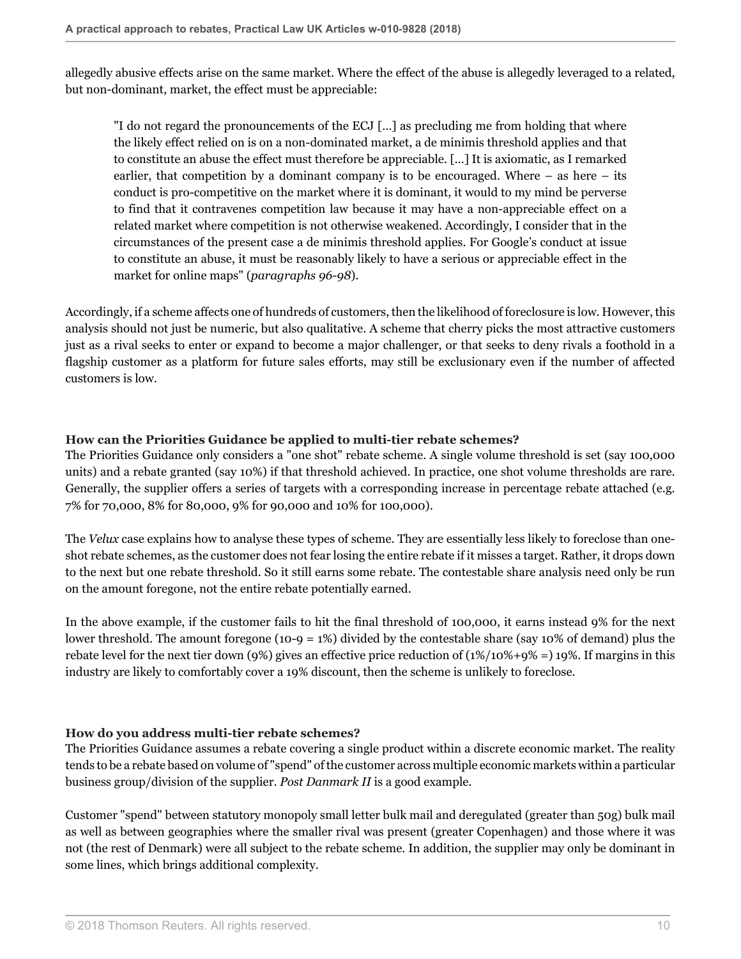allegedly abusive effects arise on the same market. Where the effect of the abuse is allegedly leveraged to a related, but non-dominant, market, the effect must be appreciable:

"I do not regard the pronouncements of the ECJ […] as precluding me from holding that where the likely effect relied on is on a non-dominated market, a de minimis threshold applies and that to constitute an abuse the effect must therefore be appreciable. […] It is axiomatic, as I remarked earlier, that competition by a dominant company is to be encouraged. Where  $-$  as here  $-$  its conduct is pro-competitive on the market where it is dominant, it would to my mind be perverse to find that it contravenes competition law because it may have a non-appreciable effect on a related market where competition is not otherwise weakened. Accordingly, I consider that in the circumstances of the present case a de minimis threshold applies. For Google's conduct at issue to constitute an abuse, it must be reasonably likely to have a serious or appreciable effect in the market for online maps" (*paragraphs 96-98*).

Accordingly, if a scheme affects one of hundreds of customers, then the likelihood of foreclosure is low. However, this analysis should not just be numeric, but also qualitative. A scheme that cherry picks the most attractive customers just as a rival seeks to enter or expand to become a major challenger, or that seeks to deny rivals a foothold in a flagship customer as a platform for future sales efforts, may still be exclusionary even if the number of affected customers is low.

#### **How can the Priorities Guidance be applied to multi-tier rebate schemes?**

The Priorities Guidance only considers a "one shot" rebate scheme. A single volume threshold is set (say 100,000 units) and a rebate granted (say 10%) if that threshold achieved. In practice, one shot volume thresholds are rare. Generally, the supplier offers a series of targets with a corresponding increase in percentage rebate attached (e.g. 7% for 70,000, 8% for 80,000, 9% for 90,000 and 10% for 100,000).

The *Velux* case explains how to analyse these types of scheme. They are essentially less likely to foreclose than oneshot rebate schemes, as the customer does not fear losing the entire rebate if it misses a target. Rather, it drops down to the next but one rebate threshold. So it still earns some rebate. The contestable share analysis need only be run on the amount foregone, not the entire rebate potentially earned.

In the above example, if the customer fails to hit the final threshold of 100,000, it earns instead 9% for the next lower threshold. The amount foregone (10-9 = 1%) divided by the contestable share (say 10% of demand) plus the rebate level for the next tier down (9%) gives an effective price reduction of  $(1\%/10\% + 9\%) = 19\%$ . If margins in this industry are likely to comfortably cover a 19% discount, then the scheme is unlikely to foreclose.

#### **How do you address multi-tier rebate schemes?**

The Priorities Guidance assumes a rebate covering a single product within a discrete economic market. The reality tends to be a rebate based on volume of "spend" of the customer across multiple economic markets within a particular business group/division of the supplier. *Post Danmark II* is a good example.

Customer "spend" between statutory monopoly small letter bulk mail and deregulated (greater than 50g) bulk mail as well as between geographies where the smaller rival was present (greater Copenhagen) and those where it was not (the rest of Denmark) were all subject to the rebate scheme. In addition, the supplier may only be dominant in some lines, which brings additional complexity.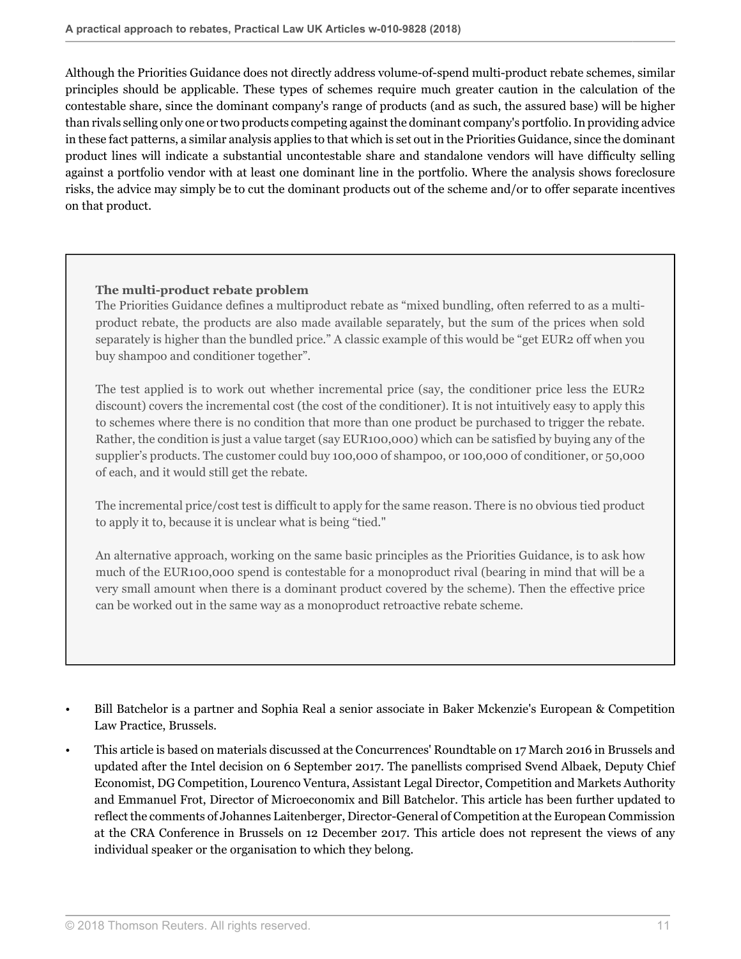Although the Priorities Guidance does not directly address volume-of-spend multi-product rebate schemes, similar principles should be applicable. These types of schemes require much greater caution in the calculation of the contestable share, since the dominant company's range of products (and as such, the assured base) will be higher than rivals selling only one or two products competing against the dominant company's portfolio. In providing advice in these fact patterns, a similar analysis applies to that which is set out in the Priorities Guidance, since the dominant product lines will indicate a substantial uncontestable share and standalone vendors will have difficulty selling against a portfolio vendor with at least one dominant line in the portfolio. Where the analysis shows foreclosure risks, the advice may simply be to cut the dominant products out of the scheme and/or to offer separate incentives on that product.

#### **The multi-product rebate problem**

The Priorities Guidance defines a multiproduct rebate as "mixed bundling, often referred to as a multiproduct rebate, the products are also made available separately, but the sum of the prices when sold separately is higher than the bundled price." A classic example of this would be "get EUR2 off when you buy shampoo and conditioner together".

The test applied is to work out whether incremental price (say, the conditioner price less the EUR2 discount) covers the incremental cost (the cost of the conditioner). It is not intuitively easy to apply this to schemes where there is no condition that more than one product be purchased to trigger the rebate. Rather, the condition is just a value target (say EUR100,000) which can be satisfied by buying any of the supplier's products. The customer could buy 100,000 of shampoo, or 100,000 of conditioner, or 50,000 of each, and it would still get the rebate.

The incremental price/cost test is difficult to apply for the same reason. There is no obvious tied product to apply it to, because it is unclear what is being "tied."

An alternative approach, working on the same basic principles as the Priorities Guidance, is to ask how much of the EUR100,000 spend is contestable for a monoproduct rival (bearing in mind that will be a very small amount when there is a dominant product covered by the scheme). Then the effective price can be worked out in the same way as a monoproduct retroactive rebate scheme.

- Bill Batchelor is a partner and Sophia Real a senior associate in Baker Mckenzie's European & Competition Law Practice, Brussels.
- This article is based on materials discussed at the Concurrences' Roundtable on 17 March 2016 in Brussels and updated after the Intel decision on 6 September 2017. The panellists comprised Svend Albaek, Deputy Chief Economist, DG Competition, Lourenco Ventura, Assistant Legal Director, Competition and Markets Authority and Emmanuel Frot, Director of Microeconomix and Bill Batchelor. This article has been further updated to reflect the comments of Johannes Laitenberger, Director-General of Competition at the European Commission at the CRA Conference in Brussels on 12 December 2017. This article does not represent the views of any individual speaker or the organisation to which they belong.